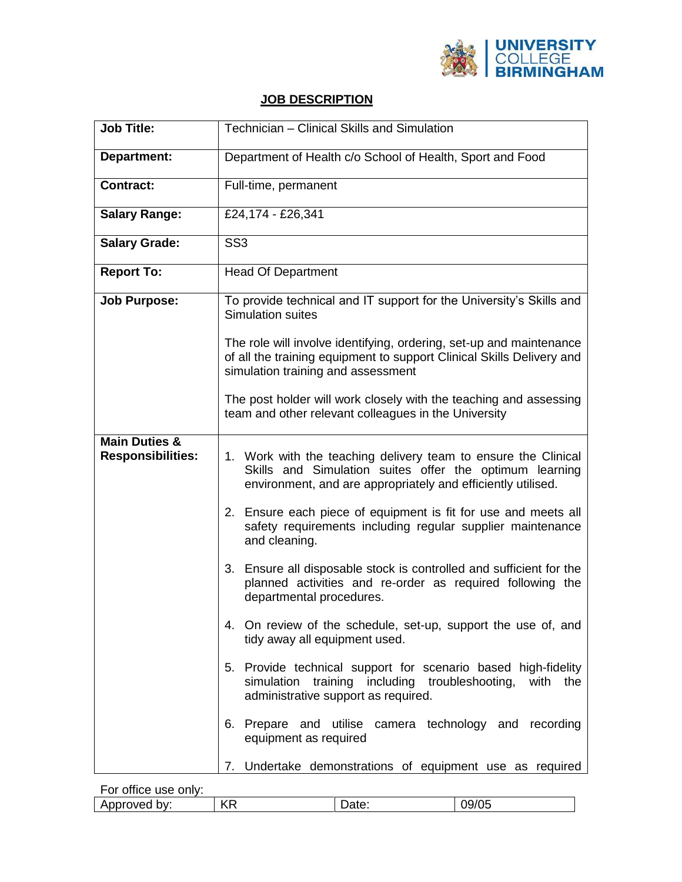

## **JOB DESCRIPTION**

| <b>Job Title:</b>                                    | Technician - Clinical Skills and Simulation                                                                                                                                               |  |
|------------------------------------------------------|-------------------------------------------------------------------------------------------------------------------------------------------------------------------------------------------|--|
| Department:                                          | Department of Health c/o School of Health, Sport and Food                                                                                                                                 |  |
| Contract:                                            | Full-time, permanent                                                                                                                                                                      |  |
| <b>Salary Range:</b>                                 | £24,174 - £26,341                                                                                                                                                                         |  |
| <b>Salary Grade:</b>                                 | SS <sub>3</sub>                                                                                                                                                                           |  |
| <b>Report To:</b>                                    | <b>Head Of Department</b>                                                                                                                                                                 |  |
| <b>Job Purpose:</b>                                  | To provide technical and IT support for the University's Skills and<br><b>Simulation suites</b>                                                                                           |  |
|                                                      | The role will involve identifying, ordering, set-up and maintenance<br>of all the training equipment to support Clinical Skills Delivery and<br>simulation training and assessment        |  |
|                                                      | The post holder will work closely with the teaching and assessing<br>team and other relevant colleagues in the University                                                                 |  |
| <b>Main Duties &amp;</b><br><b>Responsibilities:</b> | 1. Work with the teaching delivery team to ensure the Clinical<br>Skills and Simulation suites offer the optimum learning<br>environment, and are appropriately and efficiently utilised. |  |
|                                                      | 2. Ensure each piece of equipment is fit for use and meets all<br>safety requirements including regular supplier maintenance<br>and cleaning.                                             |  |
|                                                      | 3. Ensure all disposable stock is controlled and sufficient for the<br>planned activities and re-order as required following the<br>departmental procedures.                              |  |
|                                                      | 4. On review of the schedule, set-up, support the use of, and<br>tidy away all equipment used.                                                                                            |  |
|                                                      | 5. Provide technical support for scenario based high-fidelity<br>simulation training including troubleshooting, with the<br>administrative support as required.                           |  |
|                                                      | 6. Prepare and utilise camera technology and recording<br>equipment as required                                                                                                           |  |
|                                                      | 7. Undertake demonstrations of equipment use as required                                                                                                                                  |  |

For office use only:

| $\mathsf{L}\mathsf{L}\Gamma$<br>٦٥.<br>bv.<br>ate:<br>-<br>nnnven<br>- 23<br>-<br>U<br>ND.<br>w | . |  |  |  |
|-------------------------------------------------------------------------------------------------|---|--|--|--|
|                                                                                                 |   |  |  |  |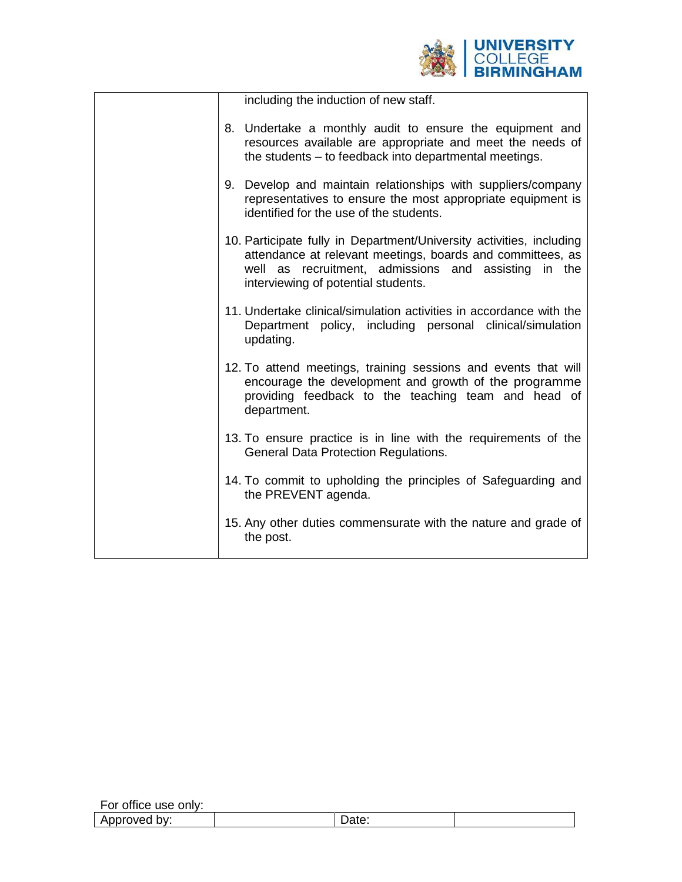

| including the induction of new staff.                                                                                                                                                                                             |
|-----------------------------------------------------------------------------------------------------------------------------------------------------------------------------------------------------------------------------------|
| 8. Undertake a monthly audit to ensure the equipment and<br>resources available are appropriate and meet the needs of<br>the students – to feedback into departmental meetings.                                                   |
| 9. Develop and maintain relationships with suppliers/company<br>representatives to ensure the most appropriate equipment is<br>identified for the use of the students.                                                            |
| 10. Participate fully in Department/University activities, including<br>attendance at relevant meetings, boards and committees, as<br>well as recruitment, admissions and assisting in the<br>interviewing of potential students. |
| 11. Undertake clinical/simulation activities in accordance with the<br>Department policy, including personal clinical/simulation<br>updating.                                                                                     |
| 12. To attend meetings, training sessions and events that will<br>encourage the development and growth of the programme<br>providing feedback to the teaching team and head of<br>department.                                     |
| 13. To ensure practice is in line with the requirements of the<br>General Data Protection Regulations.                                                                                                                            |
| 14. To commit to upholding the principles of Safeguarding and<br>the PREVENT agenda.                                                                                                                                              |
| 15. Any other duties commensurate with the nature and grade of<br>the post.                                                                                                                                                       |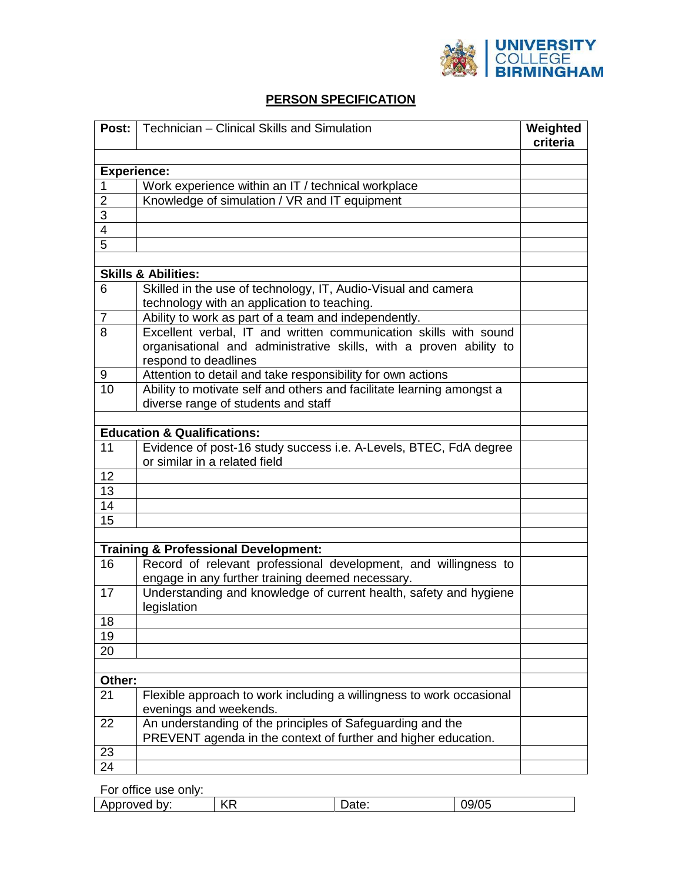

## **PERSON SPECIFICATION**

|                    | <b>Post:</b>   Technician – Clinical Skills and Simulation                                                          | Weighted<br>criteria |
|--------------------|---------------------------------------------------------------------------------------------------------------------|----------------------|
|                    |                                                                                                                     |                      |
| <b>Experience:</b> |                                                                                                                     |                      |
| 1                  | Work experience within an IT / technical workplace                                                                  |                      |
| $\overline{2}$     | Knowledge of simulation / VR and IT equipment                                                                       |                      |
| 3                  |                                                                                                                     |                      |
| 4                  |                                                                                                                     |                      |
| 5                  |                                                                                                                     |                      |
|                    |                                                                                                                     |                      |
|                    | <b>Skills &amp; Abilities:</b>                                                                                      |                      |
| 6                  | Skilled in the use of technology, IT, Audio-Visual and camera<br>technology with an application to teaching.        |                      |
| $\overline{7}$     | Ability to work as part of a team and independently.                                                                |                      |
| 8                  | Excellent verbal, IT and written communication skills with sound                                                    |                      |
|                    | organisational and administrative skills, with a proven ability to<br>respond to deadlines                          |                      |
| 9                  | Attention to detail and take responsibility for own actions                                                         |                      |
| 10                 | Ability to motivate self and others and facilitate learning amongst a                                               |                      |
|                    | diverse range of students and staff                                                                                 |                      |
|                    |                                                                                                                     |                      |
|                    | <b>Education &amp; Qualifications:</b>                                                                              |                      |
| 11                 | Evidence of post-16 study success i.e. A-Levels, BTEC, FdA degree                                                   |                      |
|                    | or similar in a related field                                                                                       |                      |
| 12                 |                                                                                                                     |                      |
| 13                 |                                                                                                                     |                      |
| 14                 |                                                                                                                     |                      |
| 15                 |                                                                                                                     |                      |
|                    |                                                                                                                     |                      |
|                    | <b>Training &amp; Professional Development:</b>                                                                     |                      |
| 16                 | Record of relevant professional development, and willingness to<br>engage in any further training deemed necessary. |                      |
| 17                 | Understanding and knowledge of current health, safety and hygiene<br>legislation                                    |                      |
| 18                 |                                                                                                                     |                      |
| 19                 |                                                                                                                     |                      |
| 20                 |                                                                                                                     |                      |
|                    |                                                                                                                     |                      |
| Other:             |                                                                                                                     |                      |
| 21                 | Flexible approach to work including a willingness to work occasional<br>evenings and weekends.                      |                      |
| 22                 | An understanding of the principles of Safeguarding and the                                                          |                      |
|                    | PREVENT agenda in the context of further and higher education.                                                      |                      |
| 23                 |                                                                                                                     |                      |
| 24                 |                                                                                                                     |                      |

For office use only:

|  | bv.<br>ட<br>W<br>п<br>w<br>. . | ′₽<br>$\mathbf{z}$<br>`` | <b>ALU.</b> | vu |
|--|--------------------------------|--------------------------|-------------|----|
|--|--------------------------------|--------------------------|-------------|----|